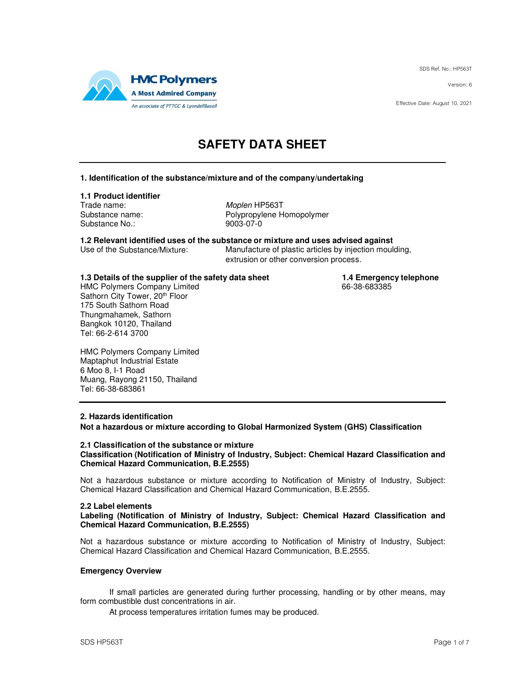SDS Ref. No.: HP563T

Version: 6

Effective Date: August 10, 2021



## **SAFETY DATA SHEET**

### **1. Identification of the substance/mixture and of the company/undertaking**

### **1.1 Product identifier**

Trade name: Moplen HP563T Substance No.: 9003-07-0

Substance name: Polypropylene Homopolymer

**1.2 Relevant identified uses of the substance or mixture and uses advised against** Manufacture of plastic articles by injection moulding,

extrusion or other conversion process.

**1.3 Details of the supplier of the safety data sheet 1.4 Emergency telephone**<br>HMC Polymers Company Limited **1.4 Emergency telephone** 

HMC Polymers Company Limited Sathorn City Tower, 20th Floor 175 South Sathorn Road Thungmahamek, Sathorn Bangkok 10120, Thailand Tel: 66-2-614 3700

HMC Polymers Company Limited Maptaphut Industrial Estate 6 Moo 8, I-1 Road Muang, Rayong 21150, Thailand Tel: 66-38-683861

### **2. Hazards identification**

**Not a hazardous or mixture according to Global Harmonized System (GHS) Classification** 

### **2.1 Classification of the substance or mixture Classification (Notification of Ministry of Industry, Subject: Chemical Hazard Classification and Chemical Hazard Communication, B.E.2555)**

Not a hazardous substance or mixture according to Notification of Ministry of Industry, Subject: Chemical Hazard Classification and Chemical Hazard Communication, B.E.2555.

### **2.2 Label elements**

**Labeling (Notification of Ministry of Industry, Subject: Chemical Hazard Classification and Chemical Hazard Communication, B.E.2555)** 

Not a hazardous substance or mixture according to Notification of Ministry of Industry, Subject: Chemical Hazard Classification and Chemical Hazard Communication, B.E.2555.

### **Emergency Overview**

If small particles are generated during further processing, handling or by other means, may form combustible dust concentrations in air.

At process temperatures irritation fumes may be produced.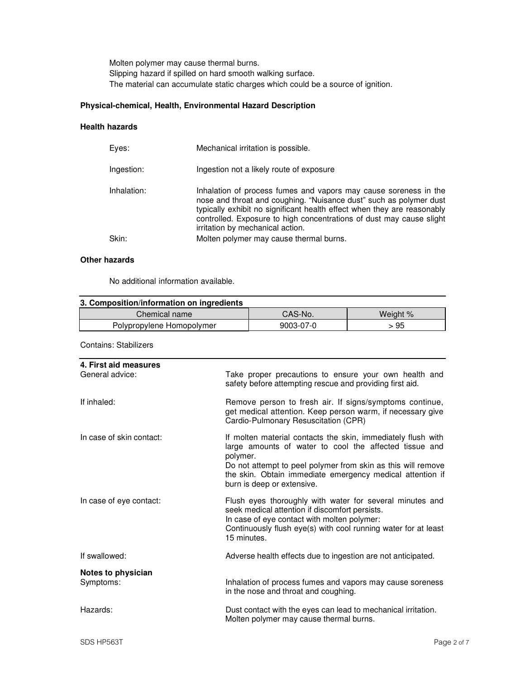Molten polymer may cause thermal burns. Slipping hazard if spilled on hard smooth walking surface. The material can accumulate static charges which could be a source of ignition.

### **Physical-chemical, Health, Environmental Hazard Description**

### **Health hazards**

|             | Mechanical irritation is possible.                                                                                                                                                                                                                                                                                            |
|-------------|-------------------------------------------------------------------------------------------------------------------------------------------------------------------------------------------------------------------------------------------------------------------------------------------------------------------------------|
| Ingestion:  | Ingestion not a likely route of exposure                                                                                                                                                                                                                                                                                      |
| Inhalation: | Inhalation of process fumes and vapors may cause soreness in the<br>nose and throat and coughing. "Nuisance dust" such as polymer dust<br>typically exhibit no significant health effect when they are reasonably<br>controlled. Exposure to high concentrations of dust may cause slight<br>irritation by mechanical action. |
| Skin:       | Molten polymer may cause thermal burns.                                                                                                                                                                                                                                                                                       |

### **Other hazards**

No additional information available.

| 3. Composition/information on ingredients |           |          |
|-------------------------------------------|-----------|----------|
| Chemical name                             | CAS-No.   | Weight % |
| Polypropylene Homopolymer                 | 9003-07-0 | -95      |

Contains: Stabilizers

| 4. First aid measures<br>General advice: | Take proper precautions to ensure your own health and<br>safety before attempting rescue and providing first aid.                                                                                                                                                                             |
|------------------------------------------|-----------------------------------------------------------------------------------------------------------------------------------------------------------------------------------------------------------------------------------------------------------------------------------------------|
| If inhaled:                              | Remove person to fresh air. If signs/symptoms continue,<br>get medical attention. Keep person warm, if necessary give<br>Cardio-Pulmonary Resuscitation (CPR)                                                                                                                                 |
| In case of skin contact:                 | If molten material contacts the skin, immediately flush with<br>large amounts of water to cool the affected tissue and<br>polymer.<br>Do not attempt to peel polymer from skin as this will remove<br>the skin. Obtain immediate emergency medical attention if<br>burn is deep or extensive. |
| In case of eye contact:                  | Flush eyes thoroughly with water for several minutes and<br>seek medical attention if discomfort persists.<br>In case of eye contact with molten polymer:<br>Continuously flush eye(s) with cool running water for at least<br>15 minutes.                                                    |
| If swallowed:                            | Adverse health effects due to ingestion are not anticipated.                                                                                                                                                                                                                                  |
| Notes to physician<br>Symptoms:          | Inhalation of process fumes and vapors may cause soreness<br>in the nose and throat and coughing.                                                                                                                                                                                             |
| Hazards:                                 | Dust contact with the eyes can lead to mechanical irritation.<br>Molten polymer may cause thermal burns.                                                                                                                                                                                      |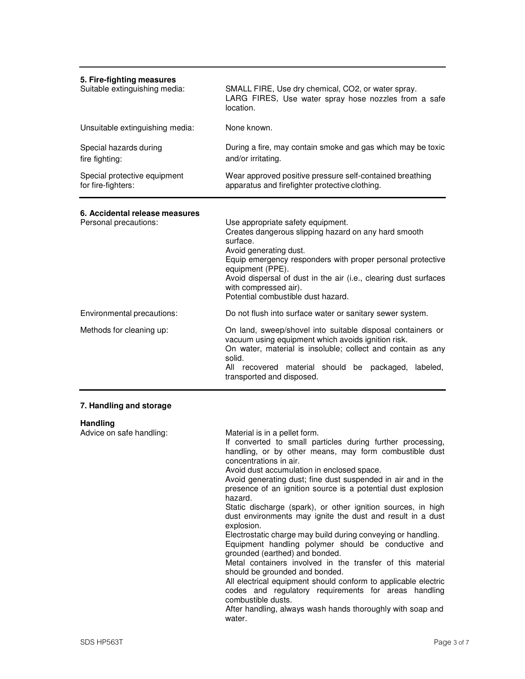| 5. Fire-fighting measures<br>Suitable extinguishing media: | SMALL FIRE, Use dry chemical, CO2, or water spray.<br>LARG FIRES, Use water spray hose nozzles from a safe<br>location.                                                                                                                                                                                                                              |
|------------------------------------------------------------|------------------------------------------------------------------------------------------------------------------------------------------------------------------------------------------------------------------------------------------------------------------------------------------------------------------------------------------------------|
| Unsuitable extinguishing media:                            | None known.                                                                                                                                                                                                                                                                                                                                          |
| Special hazards during<br>fire fighting:                   | During a fire, may contain smoke and gas which may be toxic<br>and/or irritating.                                                                                                                                                                                                                                                                    |
| Special protective equipment<br>for fire-fighters:         | Wear approved positive pressure self-contained breathing<br>apparatus and firefighter protective clothing.                                                                                                                                                                                                                                           |
| 6. Accidental release measures<br>Personal precautions:    | Use appropriate safety equipment.<br>Creates dangerous slipping hazard on any hard smooth<br>surface.<br>Avoid generating dust.<br>Equip emergency responders with proper personal protective<br>equipment (PPE).<br>Avoid dispersal of dust in the air (i.e., clearing dust surfaces<br>with compressed air).<br>Potential combustible dust hazard. |
| Environmental precautions:                                 | Do not flush into surface water or sanitary sewer system.                                                                                                                                                                                                                                                                                            |
| Methods for cleaning up:                                   | On land, sweep/shovel into suitable disposal containers or<br>vacuum using equipment which avoids ignition risk.<br>On water, material is insoluble; collect and contain as any<br>solid.<br>All recovered material should be<br>packaged,<br>labeled,<br>transported and disposed.                                                                  |

### **7. Handling and storage**

| <b>Handling</b>          |                                                                                                                                                                                                                                                                                                                                                                                                                                                                                                                                                                                                                                                                                                                                                                                                                                                                                                                                                                                                       |
|--------------------------|-------------------------------------------------------------------------------------------------------------------------------------------------------------------------------------------------------------------------------------------------------------------------------------------------------------------------------------------------------------------------------------------------------------------------------------------------------------------------------------------------------------------------------------------------------------------------------------------------------------------------------------------------------------------------------------------------------------------------------------------------------------------------------------------------------------------------------------------------------------------------------------------------------------------------------------------------------------------------------------------------------|
| Advice on safe handling: | Material is in a pellet form.<br>If converted to small particles during further processing,<br>handling, or by other means, may form combustible dust<br>concentrations in air.<br>Avoid dust accumulation in enclosed space.<br>Avoid generating dust; fine dust suspended in air and in the<br>presence of an ignition source is a potential dust explosion<br>hazard.<br>Static discharge (spark), or other ignition sources, in high<br>dust environments may ignite the dust and result in a dust<br>explosion.<br>Electrostatic charge may build during conveying or handling.<br>Equipment handling polymer should be conductive and<br>grounded (earthed) and bonded.<br>Metal containers involved in the transfer of this material<br>should be grounded and bonded.<br>All electrical equipment should conform to applicable electric<br>codes and regulatory requirements for areas handling<br>combustible dusts.<br>After handling, always wash hands thoroughly with soap and<br>water. |
|                          |                                                                                                                                                                                                                                                                                                                                                                                                                                                                                                                                                                                                                                                                                                                                                                                                                                                                                                                                                                                                       |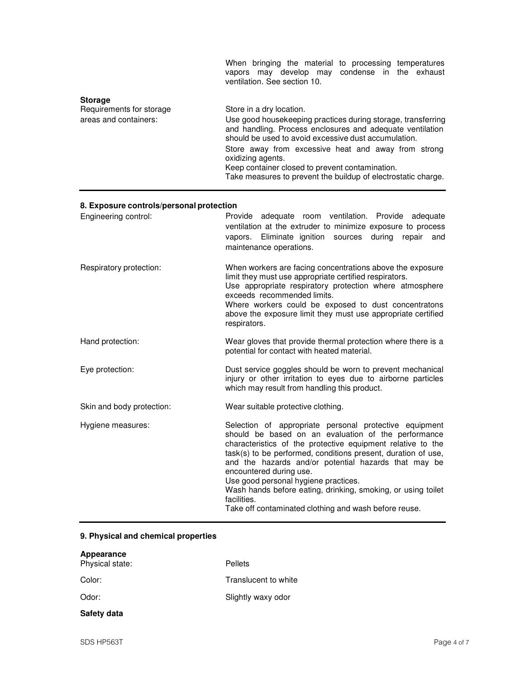|                                                                     | When bringing the material to processing temperatures<br>vapors may develop may condense in the exhaust<br>ventilation. See section 10.                                                                                                                                                                                                                                                                       |
|---------------------------------------------------------------------|---------------------------------------------------------------------------------------------------------------------------------------------------------------------------------------------------------------------------------------------------------------------------------------------------------------------------------------------------------------------------------------------------------------|
| <b>Storage</b><br>Requirements for storage<br>areas and containers: | Store in a dry location.<br>Use good housekeeping practices during storage, transferring<br>and handling. Process enclosures and adequate ventilation<br>should be used to avoid excessive dust accumulation.<br>Store away from excessive heat and away from strong<br>oxidizing agents.<br>Keep container closed to prevent contamination.<br>Take measures to prevent the buildup of electrostatic charge. |

### **8. Exposure controls/personal protection**

| Engineering control:      | Provide adequate room ventilation. Provide adequate<br>ventilation at the extruder to minimize exposure to process<br>vapors. Eliminate ignition sources during<br>repair<br>and<br>maintenance operations.                                                                                                                                                                                                                                                                                                      |
|---------------------------|------------------------------------------------------------------------------------------------------------------------------------------------------------------------------------------------------------------------------------------------------------------------------------------------------------------------------------------------------------------------------------------------------------------------------------------------------------------------------------------------------------------|
| Respiratory protection:   | When workers are facing concentrations above the exposure<br>limit they must use appropriate certified respirators.<br>Use appropriate respiratory protection where atmosphere<br>exceeds recommended limits.<br>Where workers could be exposed to dust concentratons<br>above the exposure limit they must use appropriate certified<br>respirators.                                                                                                                                                            |
| Hand protection:          | Wear gloves that provide thermal protection where there is a<br>potential for contact with heated material.                                                                                                                                                                                                                                                                                                                                                                                                      |
| Eye protection:           | Dust service goggles should be worn to prevent mechanical<br>injury or other irritation to eyes due to airborne particles<br>which may result from handling this product.                                                                                                                                                                                                                                                                                                                                        |
| Skin and body protection: | Wear suitable protective clothing.                                                                                                                                                                                                                                                                                                                                                                                                                                                                               |
| Hygiene measures:         | Selection of appropriate personal protective equipment<br>should be based on an evaluation of the performance<br>characteristics of the protective equipment relative to the<br>task(s) to be performed, conditions present, duration of use,<br>and the hazards and/or potential hazards that may be<br>encountered during use.<br>Use good personal hygiene practices.<br>Wash hands before eating, drinking, smoking, or using toilet<br>facilities.<br>Take off contaminated clothing and wash before reuse. |

### **9. Physical and chemical properties**

| Appearance<br>Physical state: | <b>Pellets</b>       |
|-------------------------------|----------------------|
| Color:                        | Translucent to white |
| Odor:                         | Slightly waxy odor   |
| Safety data                   |                      |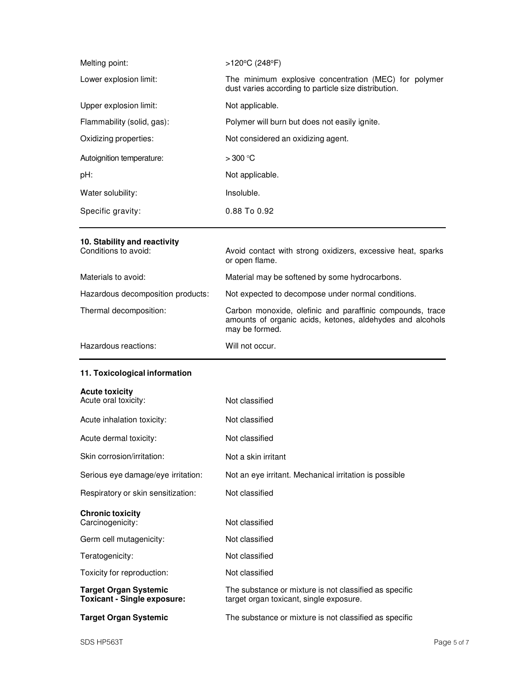| Melting point:             | >120°C (248°F)                                                                                                |
|----------------------------|---------------------------------------------------------------------------------------------------------------|
| Lower explosion limit:     | The minimum explosive concentration (MEC) for polymer<br>dust varies according to particle size distribution. |
| Upper explosion limit:     | Not applicable.                                                                                               |
| Flammability (solid, gas): | Polymer will burn but does not easily ignite.                                                                 |
| Oxidizing properties:      | Not considered an oxidizing agent.                                                                            |
| Autoignition temperature:  | $>300$ °C                                                                                                     |
| pH:                        | Not applicable.                                                                                               |
| Water solubility:          | Insoluble.                                                                                                    |
| Specific gravity:          | 0.88 To 0.92                                                                                                  |
|                            |                                                                                                               |

# **10. Stability and reactivity**

| Conditions to avoid:              | Avoid contact with strong oxidizers, excessive heat, sparks<br>or open flame.                                                            |
|-----------------------------------|------------------------------------------------------------------------------------------------------------------------------------------|
| Materials to avoid:               | Material may be softened by some hydrocarbons.                                                                                           |
| Hazardous decomposition products: | Not expected to decompose under normal conditions.                                                                                       |
| Thermal decomposition:            | Carbon monoxide, olefinic and paraffinic compounds, trace<br>amounts of organic acids, ketones, aldehydes and alcohols<br>may be formed. |
| Hazardous reactions:              | Will not occur.                                                                                                                          |

### **11. Toxicological information**

| <b>Acute toxicity</b>                                              |                                                                                                   |
|--------------------------------------------------------------------|---------------------------------------------------------------------------------------------------|
| Acute oral toxicity:                                               | Not classified                                                                                    |
| Acute inhalation toxicity:                                         | Not classified                                                                                    |
| Acute dermal toxicity:                                             | Not classified                                                                                    |
| Skin corrosion/irritation:                                         | Not a skin irritant                                                                               |
| Serious eye damage/eye irritation:                                 | Not an eye irritant. Mechanical irritation is possible                                            |
| Respiratory or skin sensitization:                                 | Not classified                                                                                    |
|                                                                    |                                                                                                   |
|                                                                    |                                                                                                   |
| <b>Chronic toxicity</b><br>Carcinogenicity:                        | Not classified                                                                                    |
| Germ cell mutagenicity:                                            | Not classified                                                                                    |
| Teratogenicity:                                                    | Not classified                                                                                    |
| Toxicity for reproduction:                                         | Not classified                                                                                    |
| <b>Target Organ Systemic</b><br><b>Toxicant - Single exposure:</b> | The substance or mixture is not classified as specific<br>target organ toxicant, single exposure. |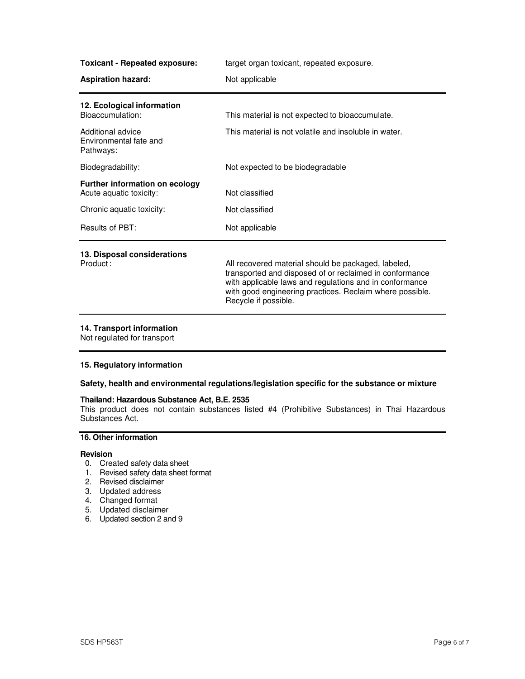**Toxicant - Repeated exposure:** target organ toxicant, repeated exposure.

| <b>Aspiration hazard:</b>                                        | Not applicable                                                                                                                                                                                                                                                |
|------------------------------------------------------------------|---------------------------------------------------------------------------------------------------------------------------------------------------------------------------------------------------------------------------------------------------------------|
| 12. Ecological information<br>Bioaccumulation:                   | This material is not expected to bioaccumulate.                                                                                                                                                                                                               |
| Additional advice<br>Environmental fate and<br>Pathways:         | This material is not volatile and insoluble in water.                                                                                                                                                                                                         |
| Biodegradability:                                                | Not expected to be biodegradable                                                                                                                                                                                                                              |
| <b>Further information on ecology</b><br>Acute aquatic toxicity: | Not classified                                                                                                                                                                                                                                                |
| Chronic aquatic toxicity:                                        | Not classified                                                                                                                                                                                                                                                |
| Results of PBT:                                                  | Not applicable                                                                                                                                                                                                                                                |
| 13. Disposal considerations<br>Product:                          | All recovered material should be packaged, labeled,<br>transported and disposed of or reclaimed in conformance<br>with applicable laws and regulations and in conformance<br>with good engineering practices. Reclaim where possible.<br>Recycle if possible. |

#### **14. Transport information**

Not regulated for transport

### **15. Regulatory information**

### **Safety, health and environmental regulations/legislation specific for the substance or mixture**

### **Thailand: Hazardous Substance Act, B.E. 2535**

This product does not contain substances listed #4 (Prohibitive Substances) in Thai Hazardous Substances Act.

### **16. Other information**

### **Revision**

- 0. Created safety data sheet
- 1. Revised safety data sheet format
- 2. Revised disclaimer
- 3. Updated address
- 4. Changed format
- 5. Updated disclaimer
- 6. Updated section 2 and 9